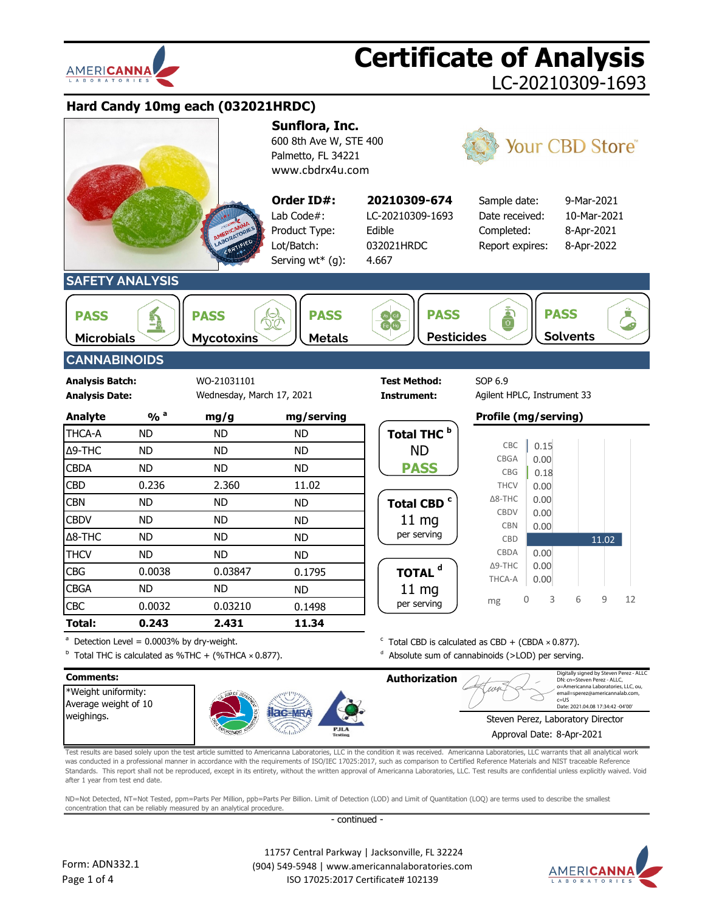



 $11248$ o=Americanna Laboratories, LLC, ou, email=sperez@americannalab.com, \*Weight uniformity: c=US Date: 2021.04.08 17:34:42 -04'00'Average weight of 10 weighings. Steven Perez, Laboratory Director Approval Date: 8-Apr-2021

Test results are based solely upon the test article sumitted to Americanna Laboratories, LLC in the condition it was received. Americanna Laboratories, LLC warrants that all analytical work was conducted in a professional manner in accordance with the requirements of ISO/IEC 17025:2017, such as comparison to Certified Reference Materials and NIST traceable Reference Standards. This report shall not be reproduced, except in its entirety, without the written approval of Americanna Laboratories, LLC. Test results are confidential unless explicitly waived. Void after 1 year from test end date.

ND=Not Detected, NT=Not Tested, ppm=Parts Per Million, ppb=Parts Per Billion. Limit of Detection (LOD) and Limit of Quantitation (LOQ) are terms used to describe the smallest concentration that can be reliably measured by an analytical procedure.

- continued -

 11757 Central Parkway | Jacksonville, FL 32224 (904) 549-5948 | www.americannalaboratories.com ISO 17025:2017 Certificate# 102139

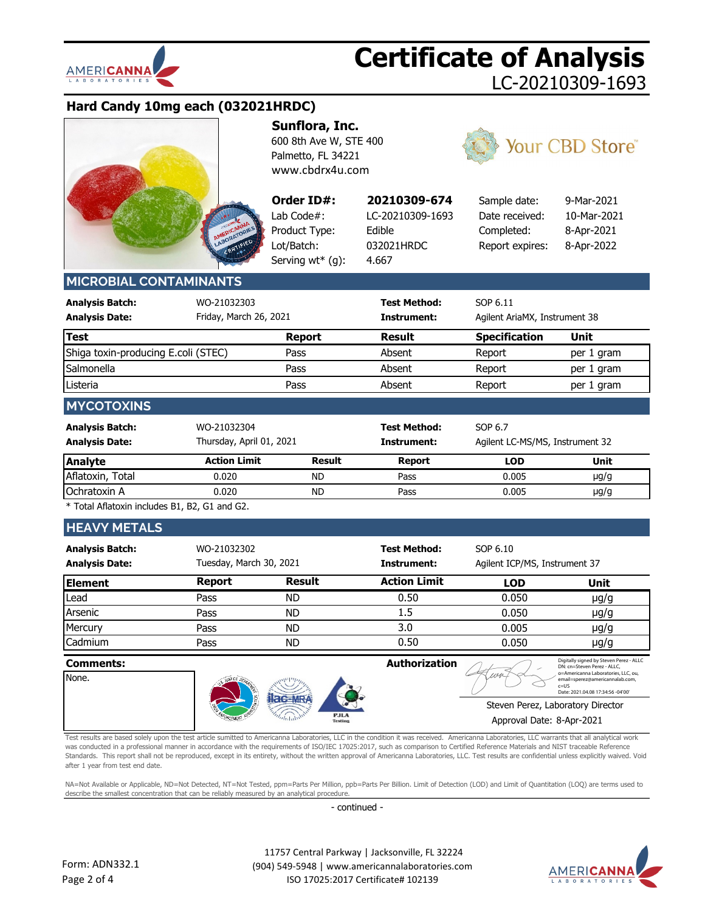

# **Hard Candy 10mg each (032021HRDC)**



**Sunflora, Inc.** 600 8th Ave W, STE 400 Palmetto, FL 34221 [www.cbdrx4u.com](http://www.cbdrx4u.com/)

**Order ID#:** Lab Code $#$ : Product Type: Lot/Batch: Serving wt\* (g):



**20210309-674** Sample date: 9-Mar-2021 Date received: 10-Mar-2021 Completed: 8-Apr-2021 Report expires: 8-Apr-2022

# **MICROBIAL CONTAMINANTS**

| <b>Analysis Batch:</b><br><b>Analysis Date:</b> | WO-21032303<br>Friday, March 26, 2021   |               | <b>Test Method:</b><br>Instrument: | SOP 6.11<br>Agilent AriaMX, Instrument 38  |            |
|-------------------------------------------------|-----------------------------------------|---------------|------------------------------------|--------------------------------------------|------------|
| <b>Test</b>                                     |                                         | <b>Report</b> | <b>Result</b>                      | <b>Specification</b>                       | Unit       |
| Shiga toxin-producing E.coli (STEC)             |                                         | Pass          | Absent                             | Report                                     | per 1 gram |
| Salmonella                                      |                                         | Pass          | Absent                             | Report                                     | per 1 gram |
| Listeria                                        |                                         | Pass          | Absent                             | Report                                     | per 1 gram |
| <b>MYCOTOXINS</b>                               |                                         |               |                                    |                                            |            |
| <b>Analysis Batch:</b><br><b>Analysis Date:</b> | WO-21032304<br>Thursday, April 01, 2021 |               | <b>Test Method:</b><br>Instrument: | SOP 6.7<br>Agilent LC-MS/MS, Instrument 32 |            |
| <b>Analyte</b>                                  | <b>Action Limit</b>                     | <b>Result</b> | <b>Report</b>                      | <b>LOD</b>                                 | Unit       |
| Aflatoxin, Total                                | 0.020                                   | ND.           | Pass                               | 0.005                                      | $\mu$ g/g  |
| Ochratoxin A                                    | 0.020                                   | <b>ND</b>     | Pass                               | 0.005                                      | $\mu$ g/g  |

\* Total Aflatoxin includes B1, B2, G1 and G2.

## **HEAVY METALS**

| <b>Analysis Batch:</b><br><b>Analysis Date:</b> | WO-21032302   | Tuesday, March 30, 2021 |                     | SOP 6.10<br>Agilent ICP/MS, Instrument 37 |           |  |
|-------------------------------------------------|---------------|-------------------------|---------------------|-------------------------------------------|-----------|--|
| <b>Element</b>                                  | <b>Report</b> | <b>Result</b>           | <b>Action Limit</b> | <b>LOD</b>                                | Unit      |  |
| Lead                                            | Pass          | <b>ND</b>               | 0.50                | 0.050                                     | $\mu$ g/g |  |
| Arsenic                                         | Pass          | <b>ND</b>               | 1.5                 | 0.050                                     | $\mu$ g/g |  |
| Mercury                                         | Pass          | ND                      | 3.0                 | 0.005                                     | $\mu$ g/g |  |
| Cadmium                                         | Pass          | ND                      | 0.50                | 0.050                                     | $\mu$ g/g |  |

| <b>Comments:</b> |               |                        | Authorization |                           | Digitally signed by Steven Perez - ALLC<br>DN: cn=Steven Perez - ALLC.                                                 |
|------------------|---------------|------------------------|---------------|---------------------------|------------------------------------------------------------------------------------------------------------------------|
| None.            |               |                        |               |                           | o=Americanna Laboratories, LLC, ou,<br>email=sperez@americannalab.com,<br>$c=115$<br>Date: 2021.04.08 17:34:56 -04'00' |
|                  | العجيز<br>18' |                        |               |                           | Steven Perez, Laboratory Director                                                                                      |
|                  | <b>NOW !!</b> | <b>PJLA</b><br>Testing |               | Approval Date: 8-Apr-2021 |                                                                                                                        |

Test results are based solely upon the test article sumitted to Americanna Laboratories, LLC in the condition it was received. Americanna Laboratories, LLC warrants that all analytical work was conducted in a professional manner in accordance with the requirements of ISO/IEC 17025:2017, such as comparison to Certified Reference Materials and NIST traceable Reference Standards. This report shall not be reproduced, except in its entirety, without the written approval of Americanna Laboratories, LLC. Test results are confidential unless explicitly waived. Void after 1 year from test end date.

NA=Not Available or Applicable, ND=Not Detected, NT=Not Tested, ppm=Parts Per Million, ppb=Parts Per Billion. Limit of Detection (LOD) and Limit of Quantitation (LOQ) are terms used to describe the smallest concentration that can be reliably measured by an analytical procedure.

- continued -



 11757 Central Parkway | Jacksonville, FL 32224 (904) 549-5948 | www.americannalaboratories.com ISO 17025:2017 Certificate# 102139

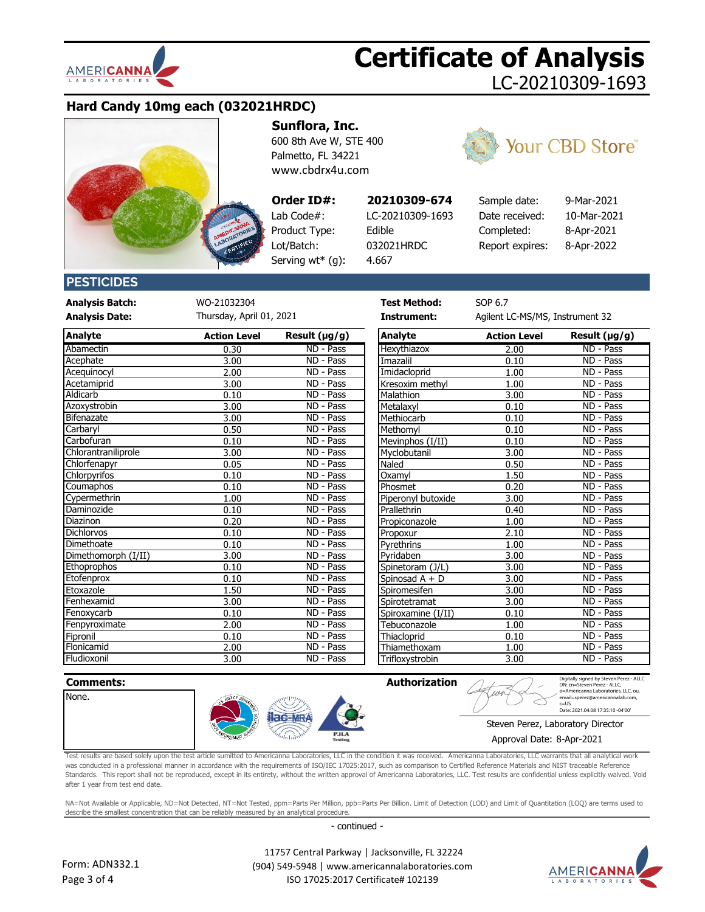

# **Hard Candy 10mg each (032021HRDC)**



**Sunflora, Inc.**

600 8th Ave W, STE 400 Palmetto, FL 34221 [www.cbdrx4u.com](http://www.cbdrx4u.com/)

## **Order ID#:**

Product Type: Edible Lot/Batch: 032021HRDC Serving wt\* (g):

Lab Code#: LC-20210309-1693

4.667



**Your CBD Store®** 

# **PESTICIDES**

**Analysis Batch:** WO-21032304 **Test Method:** SOP 6.7

**Analysis Date: Instrument:** Agilent LC-MS/MS, Instrument 32 Thursday, April 01, 2021

| <b>Analyte</b>      | <b>Action Level</b> | Result $(\mu g/g)$ | <b>Analyte</b>     | <b>Action Level</b> | Result (µg/g) |
|---------------------|---------------------|--------------------|--------------------|---------------------|---------------|
| Abamectin           | 0.30                | ND - Pass          | Hexythiazox        | 2.00                | ND - Pass     |
| Acephate            | 3.00                | ND - Pass          | Imazalil           | 0.10                | ND - Pass     |
| Acequinocyl         | 2.00                | ND - Pass          | Imidacloprid       | 1.00                | ND - Pass     |
| Acetamiprid         | 3.00                | ND - Pass          | Kresoxim methyl    | 1.00                | ND - Pass     |
| Aldicarb            | 0.10                | ND - Pass          | Malathion          | 3.00                | ND - Pass     |
| Azoxystrobin        | 3.00                | ND - Pass          | Metalaxyl          | 0.10                | ND - Pass     |
| Bifenazate          | 3.00                | ND - Pass          | Methiocarb         | 0.10                | ND - Pass     |
| Carbaryl            | 0.50                | ND - Pass          | Methomyl           | 0.10                | ND - Pass     |
| Carbofuran          | 0.10                | ND - Pass          | Mevinphos (I/II)   | 0.10                | ND - Pass     |
| Chlorantraniliprole | 3.00                | ND - Pass          | Myclobutanil       | 3.00                | ND - Pass     |
| Chlorfenapyr        | 0.05                | ND - Pass          | Naled              | 0.50                | ND - Pass     |
| Chlorpyrifos        | 0.10                | ND - Pass          | Oxamyl             | 1.50                | ND - Pass     |
| Coumaphos           | 0.10                | ND - Pass          | Phosmet            | 0.20                | ND - Pass     |
| Cypermethrin        | 1.00                | ND - Pass          | Piperonyl butoxide | 3.00                | ND - Pass     |
| Daminozide          | 0.10                | ND - Pass          | Prallethrin        | 0.40                | ND - Pass     |
| Diazinon            | 0.20                | ND - Pass          | Propiconazole      | 1.00                | ND - Pass     |
| <b>Dichlorvos</b>   | 0.10                | ND - Pass          | Propoxur           | 2.10                | ND - Pass     |
| Dimethoate          | 0.10                | ND - Pass          | Pyrethrins         | 1.00                | ND - Pass     |
| Dimethomorph (I/II) | 3.00                | ND - Pass          | Pyridaben          | 3.00                | ND - Pass     |
| <b>Ethoprophos</b>  | 0.10                | ND - Pass          | Spinetoram (J/L)   | 3.00                | ND - Pass     |
| Etofenprox          | 0.10                | $ND - Pass$        | Spinosad A + D     | 3.00                | ND - Pass     |
| Etoxazole           | 1.50                | ND - Pass          | Spiromesifen       | 3.00                | ND - Pass     |
| Fenhexamid          | 3.00                | ND - Pass          | Spirotetramat      | 3.00                | ND - Pass     |
| Fenoxycarb          | 0.10                | ND - Pass          | Spiroxamine (I/II) | 0.10                | ND - Pass     |
| Fenpyroximate       | 2.00                | ND - Pass          | Tebuconazole       | 1.00                | ND - Pass     |
| Fipronil            | 0.10                | ND - Pass          | Thiacloprid        | 0.10                | ND - Pass     |
| Flonicamid          | 2.00                | ND - Pass          | Thiamethoxam       | 1.00                | ND - Pass     |
| Fludioxonil         | 3.00                | ND - Pass          | Trifloxystrobin    | 3.00                | ND - Pass     |

| ND - Pass | Hexythiazox        | 2.00 | ND - Pass              |
|-----------|--------------------|------|------------------------|
| ND - Pass | Imazalil           | 0.10 | ND - Pass              |
| ND - Pass | Imidacloprid       | 1.00 | ND - Pass              |
| ND - Pass | Kresoxim methyl    | 1.00 | ND - Pass              |
| ND - Pass | Malathion          | 3.00 | ND - Pass              |
| ND - Pass | Metalaxyl          | 0.10 | ND - Pass              |
| ND - Pass | Methiocarb         | 0.10 | ND - Pass              |
| ND - Pass | Methomyl           | 0.10 | ND - Pass              |
| ND - Pass | Mevinphos (I/II)   | 0.10 | ND - Pass              |
| ND - Pass | Myclobutanil       | 3.00 | ND - Pass              |
| ND - Pass | Naled              | 0.50 | ND - Pass              |
| ND - Pass | Oxamyl             | 1.50 | ND - Pass              |
| ND - Pass | Phosmet            | 0.20 | ND - Pass              |
| ND - Pass | Piperonyl butoxide | 3.00 | ND - Pass              |
| ND - Pass | <b>Prallethrin</b> | 0.40 | ND - Pass              |
| ND - Pass | Propiconazole      | 1.00 | ND - Pass              |
| ND - Pass | Propoxur           | 2.10 | $ND - Pass$            |
| ND - Pass | Pyrethrins         | 1.00 | ND - Pass              |
| ND - Pass | Pyridaben          | 3.00 | $\overline{ND}$ - Pass |
| ND - Pass | Spinetoram (J/L)   | 3.00 | ND - Pass              |
| ND - Pass | Spinosad A + D     | 3.00 | ND - Pass              |
| ND - Pass | Spiromesifen       | 3.00 | ND - Pass              |
| ND - Pass | Spirotetramat      | 3.00 | ND - Pass              |
| ND - Pass | Spiroxamine (I/II) | 0.10 | ND - Pass              |
| ND - Pass | Tebuconazole       | 1.00 | ND - Pass              |
| ND - Pass | Thiacloprid        | 0.10 | ND - Pass              |
| ND - Pass | Thiamethoxam       | 1.00 | ND - Pass              |



Test results are based solely upon the test article sumitted to Americanna Laboratories, LLC in the condition it was received. Americanna Laboratories, LLC warrants that all analytical work was conducted in a professional manner in accordance with the requirements of ISO/IEC 17025:2017, such as comparison to Certified Reference Materials and NIST traceable Reference Standards. This report shall not be reproduced, except in its entirety, without the written approval of Americanna Laboratories, LLC. Test results are confidential unless explicitly waived. Void after 1 year from test end date.

NA=Not Available or Applicable, ND=Not Detected, NT=Not Tested, ppm=Parts Per Million, ppb=Parts Per Billion. Limit of Detection (LOD) and Limit of Quantitation (LOQ) are terms used to describe the smallest concentration that can be reliably measured by an analytical procedure

- continued -



 11757 Central Parkway | Jacksonville, FL 32224 (904) 549-5948 | www.americannalaboratories.com ISO 17025:2017 Certificate# 102139



Digitally signed by Steven Perez - ALLC